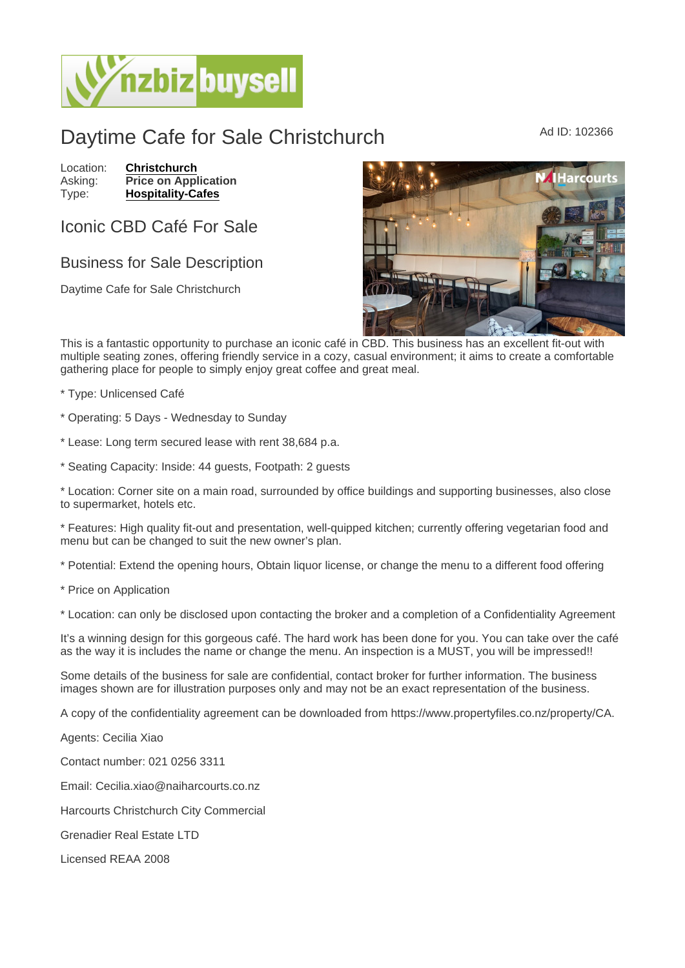## Daytime Cafe for Sale Christchurch Mad ID: 102366

Location: [Christchurch](https://www.nzbizbuysell.co.nz/businesses-for-sale/location/Christchurch) Asking: Price on Application<br>Type: Hospitality-Cafes [Hospitality-Cafes](https://www.nzbizbuysell.co.nz/businesses-for-sale/Cafes/New-Zealand)

## Iconic CBD Café For Sale

## Business for Sale Description

Daytime Cafe for Sale Christchurch

This is a fantastic opportunity to purchase an iconic café in CBD. This business has an excellent fit-out with multiple seating zones, offering friendly service in a cozy, casual environment; it aims to create a comfortable gathering place for people to simply enjoy great coffee and great meal.

\* Type: Unlicensed Café

- \* Operating: 5 Days Wednesday to Sunday
- \* Lease: Long term secured lease with rent 38,684 p.a.
- \* Seating Capacity: Inside: 44 guests, Footpath: 2 guests

\* Location: Corner site on a main road, surrounded by office buildings and supporting businesses, also close to supermarket, hotels etc.

\* Features: High quality fit-out and presentation, well-quipped kitchen; currently offering vegetarian food and menu but can be changed to suit the new owner's plan.

\* Potential: Extend the opening hours, Obtain liquor license, or change the menu to a different food offering

\* Price on Application

\* Location: can only be disclosed upon contacting the broker and a completion of a Confidentiality Agreement

It's a winning design for this gorgeous café. The hard work has been done for you. You can take over the café as the way it is includes the name or change the menu. An inspection is a MUST, you will be impressed!!

Some details of the business for sale are confidential, contact broker for further information. The business images shown are for illustration purposes only and may not be an exact representation of the business.

A copy of the confidentiality agreement can be downloaded from https://www.propertyfiles.co.nz/property/CA.

Agents: Cecilia Xiao

Contact number: 021 0256 3311

Email: Cecilia.xiao@naiharcourts.co.nz

Harcourts Christchurch City Commercial

Grenadier Real Estate LTD

Licensed REAA 2008